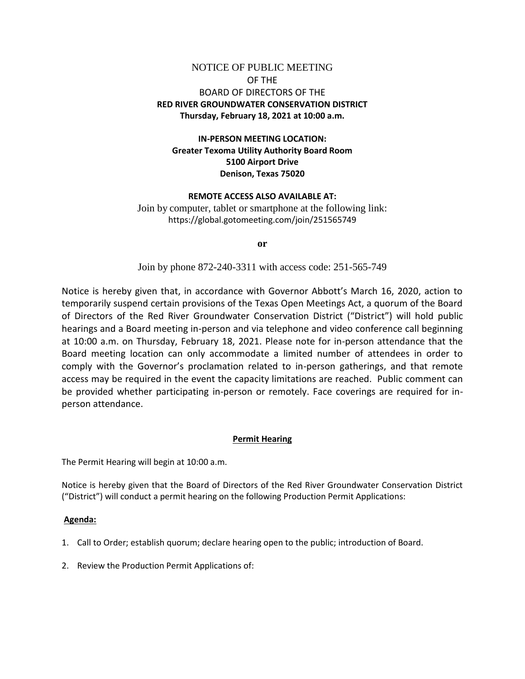# NOTICE OF PUBLIC MEETING OF THE BOARD OF DIRECTORS OF THE **RED RIVER GROUNDWATER CONSERVATION DISTRICT Thursday, February 18, 2021 at 10:00 a.m.**

## **IN-PERSON MEETING LOCATION: Greater Texoma Utility Authority Board Room 5100 Airport Drive Denison, Texas 75020**

#### **REMOTE ACCESS ALSO AVAILABLE AT:**

Join by computer, tablet or smartphone at the following link: https://global.gotomeeting.com/join/251565749

**or**

Join by phone 872-240-3311 with access code: 251-565-749

Notice is hereby given that, in accordance with Governor Abbott's March 16, 2020, action to temporarily suspend certain provisions of the Texas Open Meetings Act, a quorum of the Board of Directors of the Red River Groundwater Conservation District ("District") will hold public hearings and a Board meeting in-person and via telephone and video conference call beginning at 10:00 a.m. on Thursday, February 18, 2021. Please note for in-person attendance that the Board meeting location can only accommodate a limited number of attendees in order to comply with the Governor's proclamation related to in-person gatherings, and that remote access may be required in the event the capacity limitations are reached. Public comment can be provided whether participating in-person or remotely. Face coverings are required for inperson attendance.

### **Permit Hearing**

The Permit Hearing will begin at 10:00 a.m.

Notice is hereby given that the Board of Directors of the Red River Groundwater Conservation District ("District") will conduct a permit hearing on the following Production Permit Applications:

#### **Agenda:**

- 1. Call to Order; establish quorum; declare hearing open to the public; introduction of Board.
- 2. Review the Production Permit Applications of: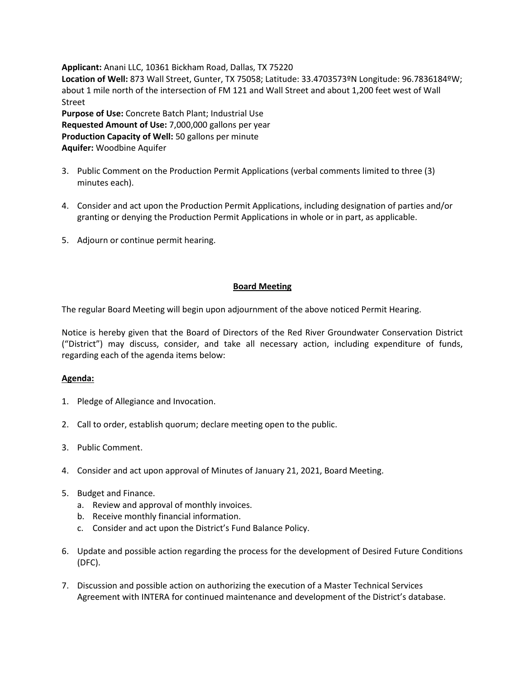**Applicant:** Anani LLC, 10361 Bickham Road, Dallas, TX 75220 **Location of Well:** 873 Wall Street, Gunter, TX 75058; Latitude: 33.4703573ºN Longitude: 96.7836184ºW; about 1 mile north of the intersection of FM 121 and Wall Street and about 1,200 feet west of Wall Street **Purpose of Use:** Concrete Batch Plant; Industrial Use **Requested Amount of Use:** 7,000,000 gallons per year

**Production Capacity of Well:** 50 gallons per minute **Aquifer:** Woodbine Aquifer

- 3. Public Comment on the Production Permit Applications (verbal comments limited to three (3) minutes each).
- 4. Consider and act upon the Production Permit Applications, including designation of parties and/or granting or denying the Production Permit Applications in whole or in part, as applicable.
- 5. Adjourn or continue permit hearing.

## **Board Meeting**

The regular Board Meeting will begin upon adjournment of the above noticed Permit Hearing.

Notice is hereby given that the Board of Directors of the Red River Groundwater Conservation District ("District") may discuss, consider, and take all necessary action, including expenditure of funds, regarding each of the agenda items below:

## **Agenda:**

- 1. Pledge of Allegiance and Invocation.
- 2. Call to order, establish quorum; declare meeting open to the public.
- 3. Public Comment.
- 4. Consider and act upon approval of Minutes of January 21, 2021, Board Meeting.
- 5. Budget and Finance.
	- a. Review and approval of monthly invoices.
	- b. Receive monthly financial information.
	- c. Consider and act upon the District's Fund Balance Policy.
- 6. Update and possible action regarding the process for the development of Desired Future Conditions (DFC).
- 7. Discussion and possible action on authorizing the execution of a Master Technical Services Agreement with INTERA for continued maintenance and development of the District's database.